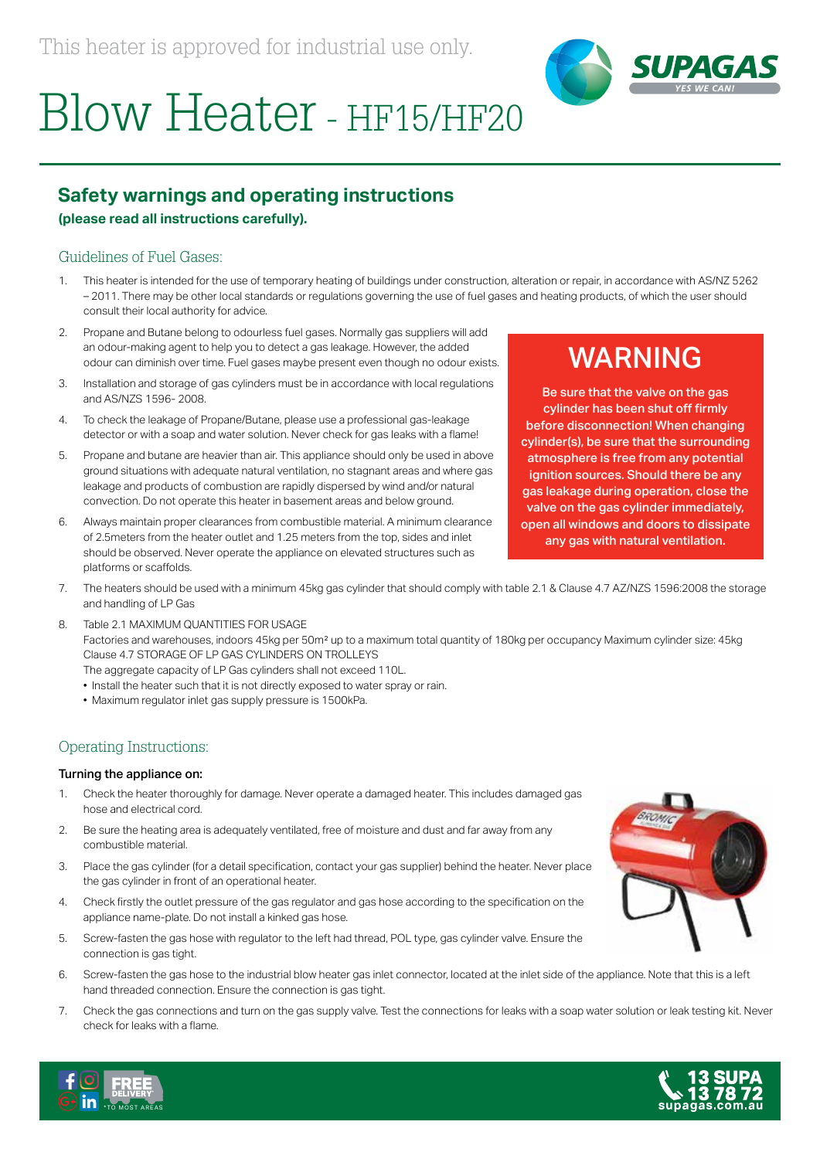

# Blow Heater - HF15/HF20

## **Safety warnings and operating instructions**

#### **(please read all instructions carefully).**

#### Guidelines of Fuel Gases:

- 1. This heater is intended for the use of temporary heating of buildings under construction, alteration or repair, in accordance with AS/NZ 5262 – 2011. There may be other local standards or regulations governing the use of fuel gases and heating products, of which the user should consult their local authority for advice.
- 2. Propane and Butane belong to odourless fuel gases. Normally gas suppliers will add an odour-making agent to help you to detect a gas leakage. However, the added odour can diminish over time. Fuel gases maybe present even though no odour exists.
- 3. Installation and storage of gas cylinders must be in accordance with local regulations and AS/NZS 1596- 2008.
- 4. To check the leakage of Propane/Butane, please use a professional gas-leakage detector or with a soap and water solution. Never check for gas leaks with a flame!
- 5. Propane and butane are heavier than air. This appliance should only be used in above ground situations with adequate natural ventilation, no stagnant areas and where gas leakage and products of combustion are rapidly dispersed by wind and/or natural convection. Do not operate this heater in basement areas and below ground.
- 6. Always maintain proper clearances from combustible material. A minimum clearance of 2.5meters from the heater outlet and 1.25 meters from the top, sides and inlet should be observed. Never operate the appliance on elevated structures such as platforms or scaffolds.

# WARNING

Be sure that the valve on the gas cylinder has been shut off firmly before disconnection! When changing cylinder(s), be sure that the surrounding atmosphere is free from any potential ignition sources. Should there be any gas leakage during operation, close the valve on the gas cylinder immediately, open all windows and doors to dissipate any gas with natural ventilation.

- 7. The heaters should be used with a minimum 45kg gas cylinder that should comply with table 2.1 & Clause 4.7 AZ/NZS 1596:2008 the storage and handling of LP Gas
- 8. Table 2.1 MAXIMUM QUANTITIES FOR USAGE Factories and warehouses, indoors 45kg per 50m² up to a maximum total quantity of 180kg per occupancy Maximum cylinder size: 45kg Clause 4.7 STORAGE OF LP GAS CYLINDERS ON TROLLEYS The aggregate capacity of LP Gas cylinders shall not exceed 110L.
	- Install the heater such that it is not directly exposed to water spray or rain.
	- Maximum regulator inlet gas supply pressure is 1500kPa.

### Operating Instructions:

#### Turning the appliance on:

- 1. Check the heater thoroughly for damage. Never operate a damaged heater. This includes damaged gas hose and electrical cord.
- 2. Be sure the heating area is adequately ventilated, free of moisture and dust and far away from any combustible material.
- 3. Place the gas cylinder (for a detail specification, contact your gas supplier) behind the heater. Never place the gas cylinder in front of an operational heater.
- 4. Check firstly the outlet pressure of the gas regulator and gas hose according to the specification on the appliance name-plate. Do not install a kinked gas hose.
- 5. Screw-fasten the gas hose with regulator to the left had thread, POL type, gas cylinder valve. Ensure the connection is gas tight.
- 6. Screw-fasten the gas hose to the industrial blow heater gas inlet connector, located at the inlet side of the appliance. Note that this is a left hand threaded connection. Ensure the connection is gas tight.
- 7. Check the gas connections and turn on the gas supply valve. Test the connections for leaks with a soap water solution or leak testing kit. Never check for leaks with a flame.